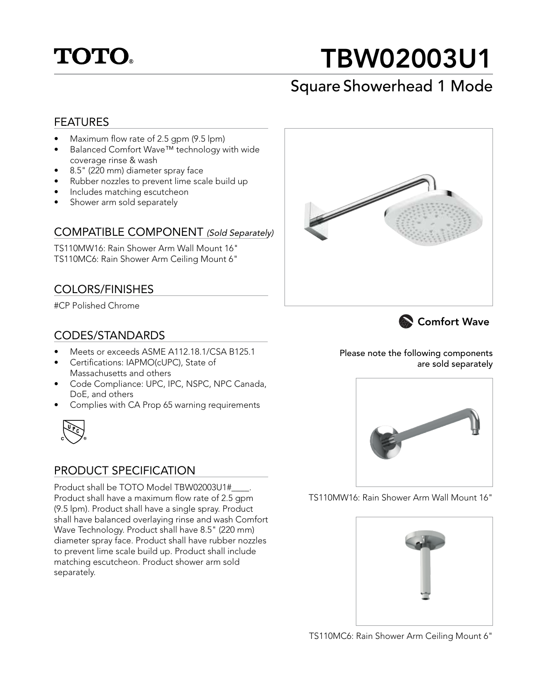

# TBW02003U1

## Square Showerhead 1 Mode

#### FEATURES

- Maximum flow rate of 2.5 gpm (9.5 lpm)
- Balanced Comfort Wave™ technology with wide coverage rinse & wash
- 8.5" (220 mm) diameter spray face
- Rubber nozzles to prevent lime scale build up
- Includes matching escutcheon
- Shower arm sold separately

#### COMPATIBLE COMPONENT (Sold Separately)

TS110MW16: Rain Shower Arm Wall Mount 16" TS110MC6: Rain Shower Arm Ceiling Mount 6"

#### COLORS/FINISHES

#CP Polished Chrome

#### CODES/STANDARDS

- Meets or exceeds ASME A112.18.1/CSA B125.1
- Certifications: IAPMO(cUPC), State of Massachusetts and others
- Code Compliance: UPC, IPC, NSPC, NPC Canada, DoE, and others
- Complies with CA Prop 65 warning requirements



#### PRODUCT SPECIFICATION

Product shall be TOTO Model TBW02003U1#\_\_\_\_. Product shall have a maximum flow rate of 2.5 gpm (9.5 lpm). Product shall have a single spray. Product shall have balanced overlaying rinse and wash Comfort Wave Technology. Product shall have 8.5" (220 mm) diameter spray face. Product shall have rubber nozzles to prevent lime scale build up. Product shall include matching escutcheon. Product shower arm sold separately.





Please note the following components are sold separately



TS110MW16: Rain Shower Arm Wall Mount 16"



TS110MC6: Rain Shower Arm Ceiling Mount 6"